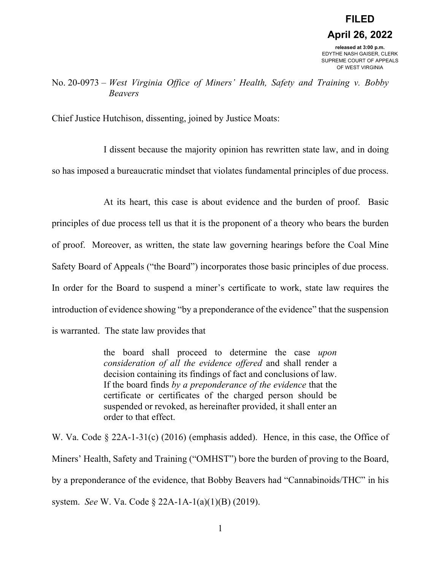No. 20-0973 – *West Virginia Office of Miners' Health, Safety and Training v. Bobby Beavers*

Chief Justice Hutchison, dissenting, joined by Justice Moats:

I dissent because the majority opinion has rewritten state law, and in doing so has imposed a bureaucratic mindset that violates fundamental principles of due process.

At its heart, this case is about evidence and the burden of proof. Basic principles of due process tell us that it is the proponent of a theory who bears the burden of proof. Moreover, as written, the state law governing hearings before the Coal Mine Safety Board of Appeals ("the Board") incorporates those basic principles of due process. In order for the Board to suspend a miner's certificate to work, state law requires the introduction of evidence showing "by a preponderance of the evidence" that the suspension is warranted. The state law provides that

> the board shall proceed to determine the case *upon consideration of all the evidence offered* and shall render a decision containing its findings of fact and conclusions of law. If the board finds *by a preponderance of the evidence* that the certificate or certificates of the charged person should be suspended or revoked, as hereinafter provided, it shall enter an order to that effect.

W. Va. Code § 22A-1-31(c) (2016) (emphasis added). Hence, in this case, the Office of Miners' Health, Safety and Training ("OMHST") bore the burden of proving to the Board, by a preponderance of the evidence, that Bobby Beavers had "Cannabinoids/THC" in his system. *See* W. Va. Code § 22A-1A-1(a)(1)(B) (2019).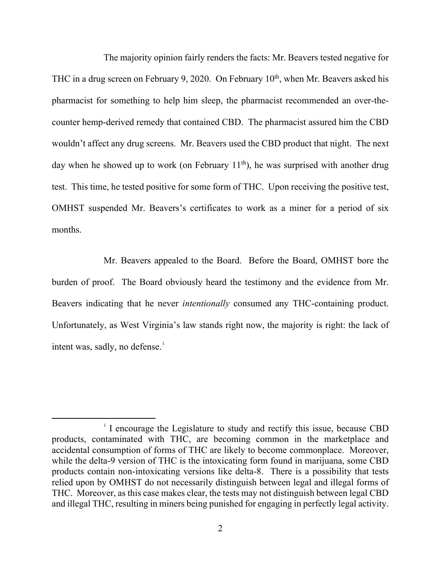The majority opinion fairly renders the facts: Mr. Beavers tested negative for THC in a drug screen on February 9, 2020. On February  $10<sup>th</sup>$ , when Mr. Beavers asked his pharmacist for something to help him sleep, the pharmacist recommended an over-thecounter hemp-derived remedy that contained CBD. The pharmacist assured him the CBD wouldn't affect any drug screens. Mr. Beavers used the CBD product that night. The next day when he showed up to work (on February  $11<sup>th</sup>$ ), he was surprised with another drug test. This time, he tested positive for some form of THC. Upon receiving the positive test, OMHST suspended Mr. Beavers's certificates to work as a miner for a period of six months.

Mr. Beavers appealed to the Board. Before the Board, OMHST bore the burden of proof. The Board obviously heard the testimony and the evidence from Mr. Beavers indicating that he never *intentionally* consumed any THC-containing product. Unfortunately, as West Virginia's law stands right now, the majority is right: the lack of intent was, sadly, no defense.<sup>[1](#page-1-0)</sup>

<span id="page-1-0"></span> $1$  I encourage the Legislature to study and rectify this issue, because CBD products, contaminated with THC, are becoming common in the marketplace and accidental consumption of forms of THC are likely to become commonplace. Moreover, while the delta-9 version of THC is the intoxicating form found in marijuana, some CBD products contain non-intoxicating versions like delta-8. There is a possibility that tests relied upon by OMHST do not necessarily distinguish between legal and illegal forms of THC. Moreover, as this case makes clear, the tests may not distinguish between legal CBD and illegal THC, resulting in miners being punished for engaging in perfectly legal activity.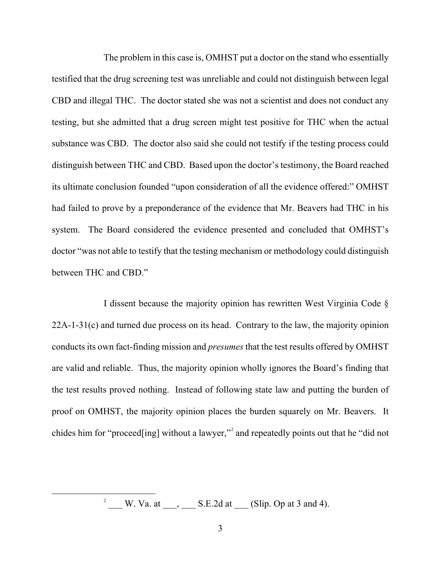The problem in this case is, OMHST put a doctor on the stand who essentially testified that the drug screening test was unreliable and could not distinguish between legal CBD and illegal THC. The doctor stated she was not a scientist and does not conduct any testing, but she admitted that a drug screen might test positive for THC when the actual substance was CBD. The doctor also said she could not testify if the testing process could distinguish between THC and CBD. Based upon the doctor's testimony, the Board reached its ultimate conclusion founded "upon consideration of all the evidence offered:" OMHST had failed to prove by a preponderance of the evidence that Mr. Beavers had THC in his system. The Board considered the evidence presented and concluded that OMHST's doctor "was not able to testify that the testing mechanism or methodology could distinguish between THC and CBD."

I dissent because the majority opinion has rewritten West Virginia Code § 22A-1-31(c) and turned due process on its head. Contrary to the law, the majority opinion conducts its own fact-finding mission and *presumes* that the test results offered by OMHST are valid and reliable. Thus, the majority opinion wholly ignores the Board's finding that the test results proved nothing. Instead of following state law and putting the burden of proof on OMHST, the majority opinion places the burden squarely on Mr. Beavers. It chides him for "proceed[ing] without a lawyer,"<sup>[2](#page-2-0)</sup> and repeatedly points out that he "did not

> <span id="page-2-0"></span>2 W. Va. at  $\_\_\_\_\_\_\_\_\$  S.E.2d at  $\_\_\_\_\$  (Slip. Op at 3 and 4).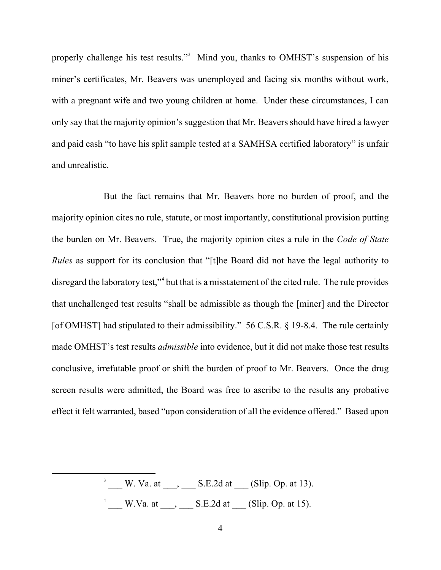properly challenge his test results."<sup>[3](#page-3-0)</sup> Mind you, thanks to OMHST's suspension of his miner's certificates, Mr. Beavers was unemployed and facing six months without work, with a pregnant wife and two young children at home. Under these circumstances, I can only say that the majority opinion's suggestion that Mr. Beavers should have hired a lawyer and paid cash "to have his split sample tested at a SAMHSA certified laboratory" is unfair and unrealistic.

But the fact remains that Mr. Beavers bore no burden of proof, and the majority opinion cites no rule, statute, or most importantly, constitutional provision putting the burden on Mr. Beavers. True, the majority opinion cites a rule in the *Code of State Rules* as support for its conclusion that "[t]he Board did not have the legal authority to disregard the laboratory test,"<sup>[4](#page-3-1)</sup> but that is a misstatement of the cited rule. The rule provides that unchallenged test results "shall be admissible as though the [miner] and the Director [of OMHST] had stipulated to their admissibility." 56 C.S.R. § 19-8.4. The rule certainly made OMHST's test results *admissible* into evidence, but it did not make those test results conclusive, irrefutable proof or shift the burden of proof to Mr. Beavers. Once the drug screen results were admitted, the Board was free to ascribe to the results any probative effect it felt warranted, based "upon consideration of all the evidence offered." Based upon

> <span id="page-3-1"></span><span id="page-3-0"></span> $3 \qquad W.$  Va. at  $\qquad \qquad S.E.2d$  at  $\qquad \qquad (Slip.$  Op. at 13).  $^4$  W.Va. at  $\qquad, \qquad$  S.E.2d at  $\qquad$  (Slip. Op. at 15).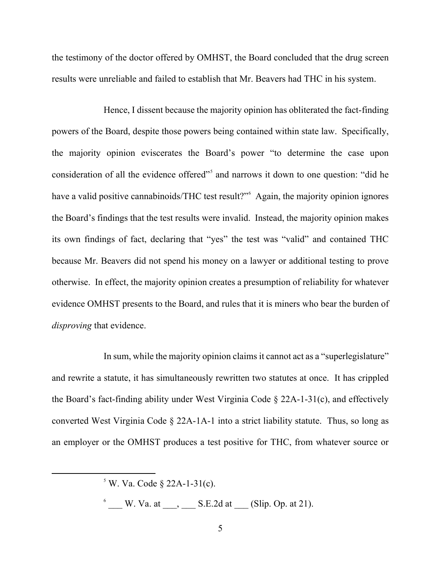the testimony of the doctor offered by OMHST, the Board concluded that the drug screen results were unreliable and failed to establish that Mr. Beavers had THC in his system.

Hence, I dissent because the majority opinion has obliterated the fact-finding powers of the Board, despite those powers being contained within state law. Specifically, the majority opinion eviscerates the Board's power "to determine the case upon consideration of all the evidence offered"<sup>[5](#page-4-0)</sup> and narrows it down to one question: "did he have a valid positive cannabinoids/THC test result?"<sup>[6](#page-4-1)</sup> Again, the majority opinion ignores the Board's findings that the test results were invalid. Instead, the majority opinion makes its own findings of fact, declaring that "yes" the test was "valid" and contained THC because Mr. Beavers did not spend his money on a lawyer or additional testing to prove otherwise. In effect, the majority opinion creates a presumption of reliability for whatever evidence OMHST presents to the Board, and rules that it is miners who bear the burden of *disproving* that evidence.

In sum, while the majority opinion claims it cannot act as a "superlegislature" and rewrite a statute, it has simultaneously rewritten two statutes at once. It has crippled the Board's fact-finding ability under West Virginia Code  $\S$  22A-1-31(c), and effectively converted West Virginia Code  $\S$  22A-1A-1 into a strict liability statute. Thus, so long as an employer or the OMHST produces a test positive for THC, from whatever source or

<span id="page-4-1"></span> $\delta$  W. Va. at  $\qquad, \qquad$  S.E.2d at  $\qquad$  (Slip. Op. at 21).

<span id="page-4-0"></span> $5$  W. Va. Code § 22A-1-31(c).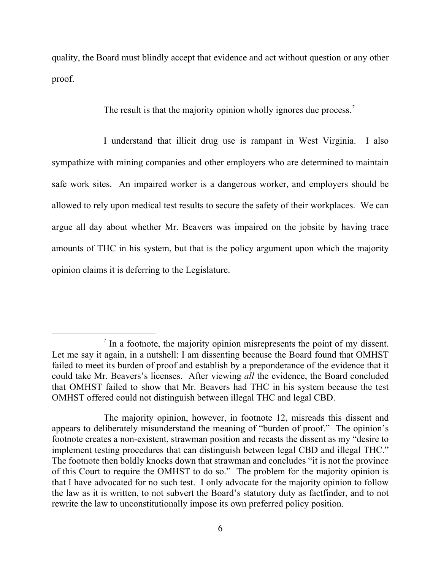quality, the Board must blindly accept that evidence and act without question or any other proof.

The result is that the majority opinion wholly ignores due process.<sup>[7](#page-5-0)</sup>

I understand that illicit drug use is rampant in West Virginia. I also sympathize with mining companies and other employers who are determined to maintain safe work sites. An impaired worker is a dangerous worker, and employers should be allowed to rely upon medical test results to secure the safety of their workplaces. We can argue all day about whether Mr. Beavers was impaired on the jobsite by having trace amounts of THC in his system, but that is the policy argument upon which the majority opinion claims it is deferring to the Legislature.

<span id="page-5-0"></span>In a footnote, the majority opinion misrepresents the point of my dissent. Let me say it again, in a nutshell: I am dissenting because the Board found that OMHST failed to meet its burden of proof and establish by a preponderance of the evidence that it could take Mr. Beavers's licenses. After viewing *all* the evidence, the Board concluded that OMHST failed to show that Mr. Beavers had THC in his system because the test OMHST offered could not distinguish between illegal THC and legal CBD.

The majority opinion, however, in footnote 12, misreads this dissent and appears to deliberately misunderstand the meaning of "burden of proof." The opinion's footnote creates a non-existent, strawman position and recasts the dissent as my "desire to implement testing procedures that can distinguish between legal CBD and illegal THC." The footnote then boldly knocks down that strawman and concludes "it is not the province of this Court to require the OMHST to do so." The problem for the majority opinion is that I have advocated for no such test. I only advocate for the majority opinion to follow the law as it is written, to not subvert the Board's statutory duty as factfinder, and to not rewrite the law to unconstitutionally impose its own preferred policy position.